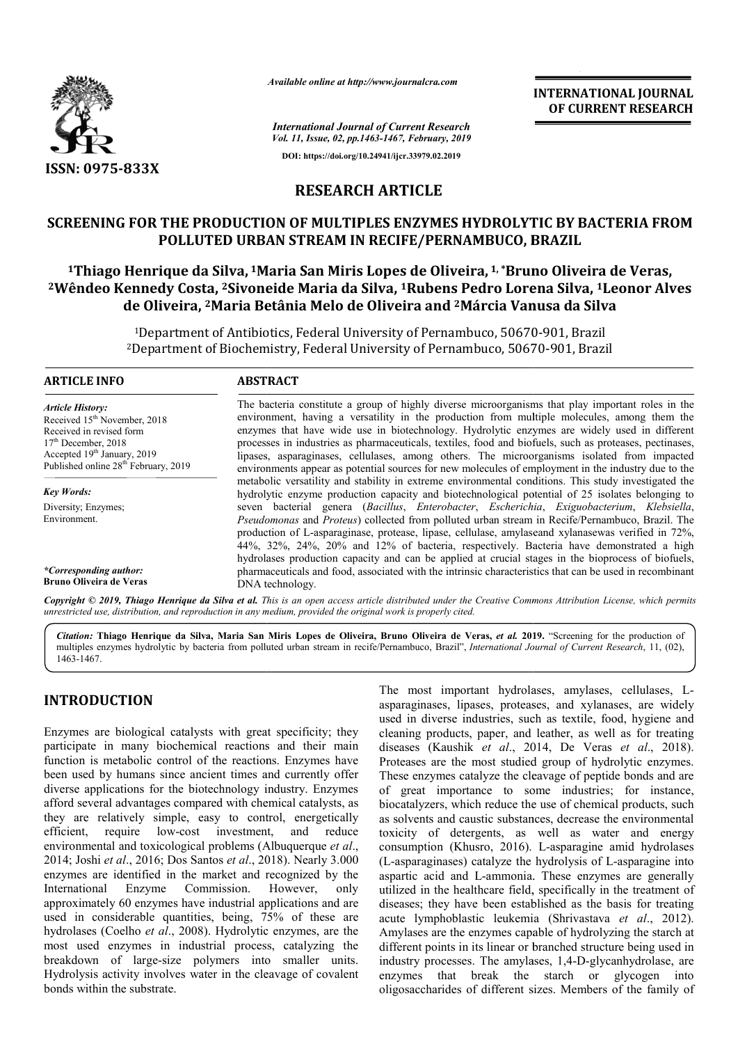

*Available online at http://www.journalcra.com*

*International Journal of Current Research Vol. 11, Issue, 02, pp.1463-1467, February, 2019* **DOI: https://doi.org/10.24941/ijcr.33979.02.2019**

**INTERNATIONAL JOURNAL OF CURRENT RESEARCH**

# **RESEARCH ARTICLE**

### **SCREENING FOR THE PRODUCTION OF MULTIPLES ENZYMES HYDROLYTIC BY BACTERIA FROM POLLUTED URBAN STREAM IN RECIFE/PERNAMBUCO, BRAZIL**

<sup>1</sup>Thiago Henrique da Silva, <sup>1</sup>Maria San Miris Lopes de Oliveira, <sup>1,</sup> \*Bruno Oliveira de Veras, **2008 SCREENING FOR THE PRODUCTION OF MULTIPLES ENZYMES HYDROLYTIC BY BACTERIA FROM**<br>POLLUTED URBAN STREAM IN RECIFE/PERNAMBUCO, BRAZIL<br><sup>1</sup>Thiago Henrique da Silva, <sup>1</sup>Maria San Miris Lopes de Oliveira, <sup>1, \*</sup>Bruno Oliveir **de Oliveira, 2Maria Betânia Maria Melo de Oliveira and 2Márcia Vanusa da Silva Márcia** 

> <sup>1</sup>Department of Antibiotics, Federal University of Pernambuco, 50670-901, Brazil <sup>1</sup>Department of Antibiotics, Federal University of Pernambuco, 50670-901, Brazil<br><sup>2</sup>Department of Biochemistry, Federal University of Pernambuco, 50670-901, Brazil

#### **ARTICLE INFO ABSTRACT**

*Article History:* Received 15<sup>th</sup> November, 2018 Received in revised form 17<sup>th</sup> December, 2018 Accepted  $19<sup>th</sup>$  January, 2019 Published online 28<sup>th</sup> February, 2019

*Key Words:* Diversity; Enzymes; Environment.

*\*Corresponding author:* **Bruno Oliveira de Veras**

The bacteria constitute a group of highly diverse microorganisms that play important roles in the environment, having a versatility in the production from multiple molecules, among them the enzymes that have wide use in biotechnology. Hydrolytic enzymes are widely used in different processes in industries as pharmaceuticals, textiles, food and biofuels, such as proteases, pectinases, lipases, asparaginases, cellulases, among others. The microorganisms isolated from impacted environments appear as potential sources for new molecules of employment in the industry due to the metabolic versatility and stability in extreme environmental conditions. This study investigated the hydrolytic enzyme production capacity and biotechnological potential of 25 isolates belonging to seven bacterial genera ( *Bacillus*, *Enterobacter*, *Escherichia Escherichia*, *Exiguobacterium*, *Klebsiella*, *Pseudomonas*  and *Proteus*) collected from polluted urban stream in Recife/Pernambuco, Brazil. The production of L L-asparaginase, protease, lipase, cellulase, amylaseand xylanasewas verified in 72%, 44%, 32%, 24%, 20% and 12% of bacteria, respectively. Bacteria have demonstrated a high hydrolases production capacity and can be applied at crucial stages in the bioprocess of biofuels, *Pseudomonas* and *Proteus*) collected from polluted urban stream in Recife/Pernambuco, Brazil. The production of L-asparaginase, protease, lipase, cellulase, amylaseand xylanasewas verified in 72%, 44%, 32%, 24%, 20% and DNA technology. environment, having a versatility in the production from multiple molecules, among them tenzymes that have wide use in biotechnology. Hydrolytic enzymes are widely used in differencesses in industries as pharmaceuticals, t

Copyright © 2019, Thiago Henrique da Silva et al. This is an open access article distributed under the Creative Commons Attribution License, which permits *unrestricted use, distribution, and reproduction in any medium, provided the original work is properly cited.*

Citation: Thiago Henrique da Silva, Maria San Miris Lopes de Oliveira, Bruno Oliveira de Veras, et al. 2019. "Screening for the production of multiples enzymes hydrolytic by bacteria from polluted urban stream in recife/Pernambuco, Brazil", *International Journal of Current Research*, 11, (02),1463-1467.

## **INTRODUCTION**

Enzymes are biological catalysts with great specificity; they participate in many biochemical reactions and their main function is metabolic control of the reactions. Enzymes have been used by humans since ancient times and currently offer diverse applications for the biotechnology industry. Enzymes afford several advantages compared with chemical catalysts, as they are relatively simple, easy to control, energetically efficient, require low-cost investment, and reduce environmental and toxicological problems (Albuquerque et al., 2014; Joshi *et al*., 2016; Dos Santos *et al*., 2018). Nearly 3.000 enzymes are identified in the market and recognized by the International Enzyme Commission. However, only Enzyme Commission. However, approximately 60 enzymes have industrial applications and are used in considerable quantities, being, 75% of these are hydrolases (Coelho *et al*., 2008). Hydrolytic enzymes, are the most used enzymes in industrial process, catalyzing the breakdown of large-size polymers into smaller units. Hydrolysis activity involves water in the cleavage of covalent bonds within the substrate. ions for the biotechnology industry. Enzymes<br>dvantages compared with chemical catalysts, as<br>vely simple, easy to control, energetically<br>uire low-cost investment, and reduce<br>nd toxicological problems (Albuquerque *et al.*,

The most important hydrolases, amylases, cellulases, L<br>sayaraginases, leadaysts with great specificity; they<br>used in diverse industries, such as textile, food, hygiene an<br>iochemical reactions and their main<br>discusses (Kaus asparaginases, lipases, proteases, and xylanases, are widely used in diverse industries, such as textile, food, hygiene and cleaning products, paper, and leather, as well as for treating asparaginases, lipases, proteases, and xylanases, are widely used in diverse industries, such as textile, food, hygiene and cleaning products, paper, and leather, as well as for treating diseases (Kaushik *et al.*, 2014, D Proteases are the most studied group of hydrolytic enzymes. These enzymes catalyze the cleavage of peptide bonds and are of great importance to some industries; for instance, biocatalyzers, which reduce the use of chemical products, such as solvents and caustic substances, decrease the environmental toxicity of detergents, as well as water and energy biocatalyzers, which reduce the use of chemical products, such<br>as solvents and caustic substances, decrease the environmental<br>toxicity of detergents, as well as water and energy<br>consumption (Khusro, 2016). L-asparagine ami (L-asparaginases) catalyze the hydrolysis of L-asparagine into aspartic acid and L-ammonia. These enzymes are generally utilized in the healthcare field, specifically in the treatment of diseases; they have been established as the basis for treating acute lymphoblastic leukemia ( lymphoblastic (Shrivastava *et al*., 2012). Amylases are the enzymes capable of hydrolyzing the starch at different points in its linear or branched structure being used in Amylases are the enzymes capable of hydrolyzing the starch at different points in its linear or branched structure being used in industry processes. The amylases, 1,4-D-glycanhydrolase, are enzymes that break the starch or glycogen into oligosaccharides of different sizes. Members of the family of The most important hydrolases, amylases, cellulases, Lstudied group of hydrolytic enzymes.<br>the cleavage of peptide bonds and are<br>to some industries; for instance, aspartic acid and L-ammonia. These enzymes are generally utilized in the healthcare field, specifically in the treatment of diseases; they have been established as the basis for treating INTERNATIONAL JOURNAL<br>
OF CURRENT RESEARCH<br>
OF CURRENT RESEARCH<br>
CONDINENT RESEARCH<br>
CONDIVIBUTION (INTERNATION ORDER)<br>
CONDINENT ACTERIA FROM<br>
CONDINENT ACTERIA FROM<br>
CONDINENT ACTERIA FROM<br>
CONDINENT ACTERIA FROM<br>
CONDI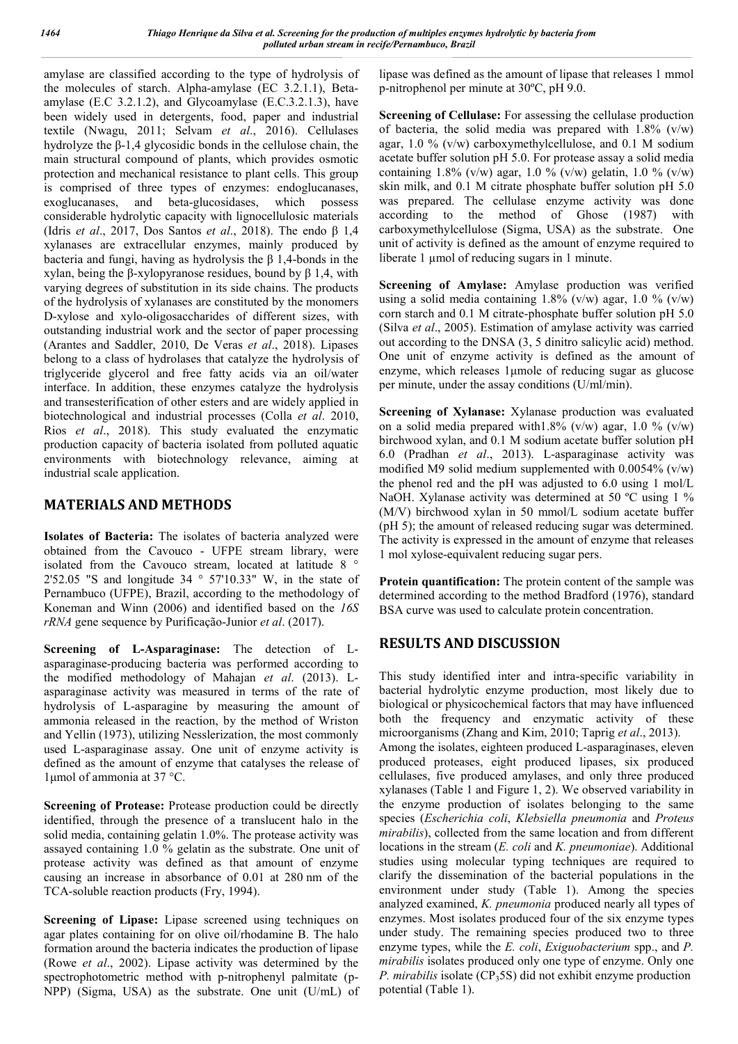amylase are classified according to the type of hydrolysis of the molecules of starch. Alpha-amylase (EC 3.2.1.1), Betaamylase (E.C 3.2.1.2), and Glycoamylase (E.C.3.2.1.3), have been widely used in detergents, food, paper and industrial textile (Nwagu, 2011; Selvam *et al*., 2016). Cellulases hydrolyze the β-1,4 glycosidic bonds in the cellulose chain, the main structural compound of plants, which provides osmotic protection and mechanical resistance to plant cells. This group is comprised of three types of enzymes: endoglucanases, exoglucanases, and beta-glucosidases, which possess considerable hydrolytic capacity with lignocellulosic materials (Idris *et al*., 2017, Dos Santos *et al*., 2018). The endo β 1,4 xylanases are extracellular enzymes, mainly produced by bacteria and fungi, having as hydrolysis the β 1,4-bonds in the xylan, being the β-xylopyranose residues, bound by β 1,4, with varying degrees of substitution in its side chains. The products of the hydrolysis of xylanases are constituted by the monomers D-xylose and xylo-oligosaccharides of different sizes, with outstanding industrial work and the sector of paper processing (Arantes and Saddler, 2010, De Veras *et al*., 2018). Lipases belong to a class of hydrolases that catalyze the hydrolysis of triglyceride glycerol and free fatty acids via an oil/water interface. In addition, these enzymes catalyze the hydrolysis and transesterification of other esters and are widely applied in biotechnological and industrial processes (Colla *et al*. 2010, Rios *et al*., 2018). This study evaluated the enzymatic production capacity of bacteria isolated from polluted aquatic environments with biotechnology relevance, aiming at industrial scale application.

### **MATERIALS AND METHODS**

**Isolates of Bacteria:** The isolates of bacteria analyzed were obtained from the Cavouco - UFPE stream library, were isolated from the Cavouco stream, located at latitude 8 ° 2'52.05 "S and longitude  $34 \degree 57'10.33''$  W, in the state of Pernambuco (UFPE), Brazil, according to the methodology of Koneman and Winn (2006) and identified based on the *16S rRNA* gene sequence by Purificação-Junior *et al*. (2017).

**Screening of L-Asparaginase:** The detection of Lasparaginase-producing bacteria was performed according to the modified methodology of Mahajan *et al*. (2013). Lasparaginase activity was measured in terms of the rate of hydrolysis of L-asparagine by measuring the amount of ammonia released in the reaction, by the method of Wriston and Yellin (1973), utilizing Nesslerization, the most commonly used L-asparaginase assay. One unit of enzyme activity is defined as the amount of enzyme that catalyses the release of 1μmol of ammonia at 37 °C.

**Screening of Protease:** Protease production could be directly identified, through the presence of a translucent halo in the solid media, containing gelatin 1.0%. The protease activity was assayed containing 1.0 % gelatin as the substrate. One unit of protease activity was defined as that amount of enzyme causing an increase in absorbance of 0.01 at 280 nm of the TCA-soluble reaction products (Fry, 1994).

**Screening of Lipase:** Lipase screened using techniques on agar plates containing for on olive oil/rhodamine B. The halo formation around the bacteria indicates the production of lipase (Rowe *et al*., 2002). Lipase activity was determined by the spectrophotometric method with p-nitrophenyl palmitate (p-NPP) (Sigma, USA) as the substrate. One unit (U/mL) of lipase was defined as the amount of lipase that releases 1 mmol p-nitrophenol per minute at 30ºC, pH 9.0.

**Screening of Cellulase:** For assessing the cellulase production of bacteria, the solid media was prepared with  $1.8\%$  (v/w) agar,  $1.0\%$  (v/w) carboxymethylcellulose, and  $0.1$  M sodium acetate buffer solution pH 5.0. For protease assay a solid media containing 1.8% (v/w) agar, 1.0 % (v/w) gelatin, 1.0 % (v/w) skin milk, and 0.1 M citrate phosphate buffer solution pH 5.0 was prepared. The cellulase enzyme activity was done according to the method of Ghose (1987) with carboxymethylcellulose (Sigma, USA) as the substrate. One unit of activity is defined as the amount of enzyme required to liberate 1 µmol of reducing sugars in 1 minute.

**Screening of Amylase:** Amylase production was verified using a solid media containing  $1.8\%$  (v/w) agar,  $1.0\%$  (v/w) corn starch and 0.1 M citrate-phosphate buffer solution pH 5.0 (Silva *et al*., 2005). Estimation of amylase activity was carried out according to the DNSA (3, 5 dinitro salicylic acid) method. One unit of enzyme activity is defined as the amount of enzyme, which releases 1μmole of reducing sugar as glucose per minute, under the assay conditions (U/ml/min).

**Screening of Xylanase:** Xylanase production was evaluated on a solid media prepared with  $1.8\%$  (v/w) agar,  $1.0\%$  (v/w) birchwood xylan, and 0.1 M sodium acetate buffer solution pH 6.0 (Pradhan *et al*., 2013). L-asparaginase activity was modified M9 solid medium supplemented with  $0.0054\%$  (v/w) the phenol red and the pH was adjusted to 6.0 using 1 mol/L NaOH. Xylanase activity was determined at 50 °C using 1 % (M/V) birchwood xylan in 50 mmol/L sodium acetate buffer (pH 5); the amount of released reducing sugar was determined. The activity is expressed in the amount of enzyme that releases 1 mol xylose-equivalent reducing sugar pers.

**Protein quantification:** The protein content of the sample was determined according to the method Bradford (1976), standard BSA curve was used to calculate protein concentration.

## **RESULTS AND DISCUSSION**

This study identified inter and intra-specific variability in bacterial hydrolytic enzyme production, most likely due to biological or physicochemical factors that may have influenced both the frequency and enzymatic activity of these microorganisms (Zhang and Kim, 2010; Taprig *et al*., 2013). Among the isolates, eighteen produced L-asparaginases, eleven produced proteases, eight produced lipases, six produced cellulases, five produced amylases, and only three produced xylanases (Table 1 and Figure 1, 2). We observed variability in the enzyme production of isolates belonging to the same species (*Escherichia coli*, *Klebsiella pneumonia* and *Proteus mirabilis*), collected from the same location and from different locations in the stream (*E. coli* and *K. pneumoniae*). Additional studies using molecular typing techniques are required to clarify the dissemination of the bacterial populations in the environment under study (Table 1). Among the species analyzed examined, *K. pneumonia* produced nearly all types of enzymes. Most isolates produced four of the six enzyme types under study. The remaining species produced two to three enzyme types, while the *E. coli*, *Exiguobacterium* spp., and *P. mirabilis* isolates produced only one type of enzyme. Only one *P. mirabilis* isolate (CP35S) did not exhibit enzyme production potential (Table 1).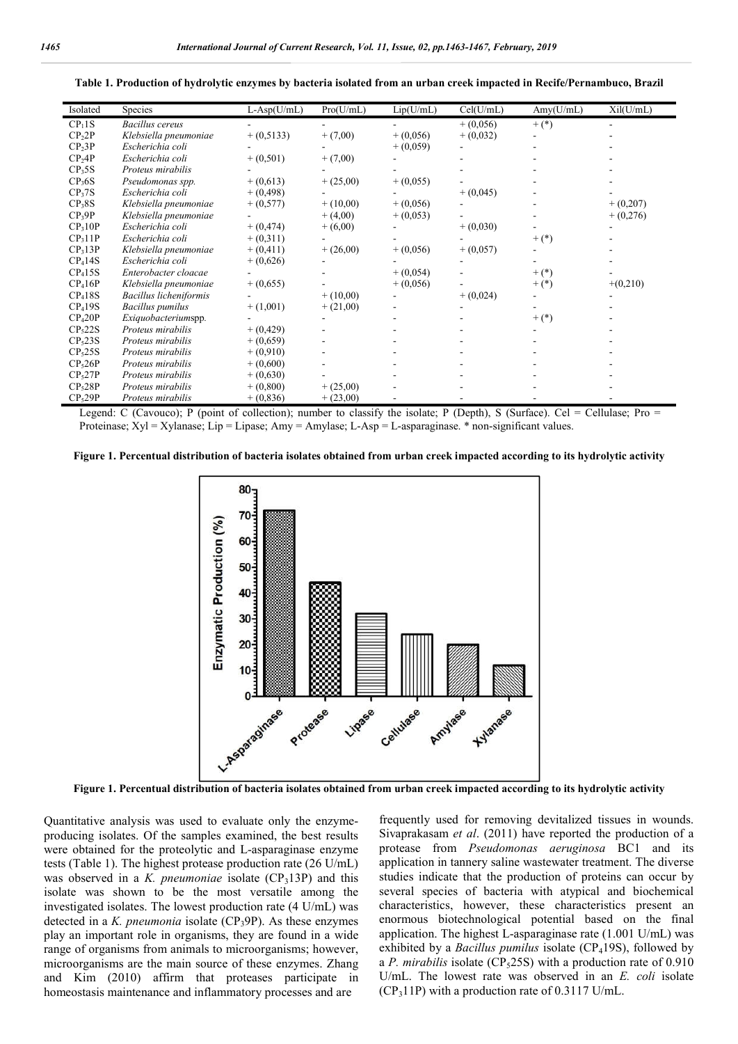| Isolated            | Species                 | $L-Asp(U/mL)$ | Pro(U/mL)   | Lip(U/mL)   | Cell(U/mL) | Amy(U/mL)  | Xi(U/mL)   |
|---------------------|-------------------------|---------------|-------------|-------------|------------|------------|------------|
| CP <sub>1</sub> 1S  | <b>Bacillus</b> cereus  |               |             |             | $+(0,056)$ | $^{+}$ (*) |            |
| CP <sub>2</sub> 2P  | Klebsiella pneumoniae   | $+(0,5133)$   | $+ (7,00)$  | $+(0,056)$  | $+(0,032)$ |            |            |
| $CP_23P$            | Escherichia coli        |               |             | $+(0,059)$  |            |            |            |
| CP <sub>2</sub> AP  | Escherichia coli        | $+(0,501)$    | $+ (7,00)$  |             |            |            |            |
| CP <sub>3</sub> 5S  | Proteus mirabilis       |               |             |             |            |            |            |
| CP <sub>3</sub> 6S  | Pseudomonas spp.        | $+(0,613)$    | $+(25,00)$  | $+(0,055)$  |            |            |            |
| CP <sub>3</sub> 7S  | Escherichia coli        | $+(0,498)$    |             |             | $+(0,045)$ |            |            |
| CP <sub>3</sub> 8S  | Klebsiella pneumoniae   | $+(0,577)$    | $+ (10,00)$ | $+(0,056)$  |            |            | $+(0,207)$ |
| $CP_39P$            | Klebsiella pneumoniae   |               | $+(4,00)$   | $+(0,053)$  |            |            | $+(0,276)$ |
| CP <sub>3</sub> 10P | Escherichia coli        | $+(0,474)$    | $+(6,00)$   |             | $+(0,030)$ |            |            |
| CP <sub>3</sub> 11P | Escherichia coli        | $+(0,311)$    |             |             |            | $^{+}$ (*) |            |
| CP <sub>3</sub> 13P | Klebsiella pneumoniae   | $+(0,411)$    | $+(26,00)$  | $+(0,056)$  | $+(0,057)$ |            |            |
| CP <sub>4</sub> 14S | Escherichia coli        | $+(0,626)$    |             |             |            |            |            |
| CP <sub>4</sub> 15S | Enterobacter cloacae    |               |             | $+(0,054)$  |            | $^{+}$ (*) |            |
| CP <sub>4</sub> 16P | Klebsiella pneumoniae   | $+(0,655)$    |             | $+ (0,056)$ |            | $^{+}$ (*) | $+(0,210)$ |
| CP <sub>4</sub> 18S | Bacillus licheniformis  |               | $+ (10,00)$ |             | $+(0,024)$ |            |            |
| CP <sub>4</sub> 19S | <b>Bacillus</b> pumilus | $+(1,001)$    | $+(21,00)$  |             |            |            |            |
| CP <sub>4</sub> 20P | Exiquobacteriumspp.     |               |             |             |            | $^{+}$ (*) |            |
| CP <sub>5</sub> 22S | Proteus mirabilis       | $+(0,429)$    |             |             |            |            |            |
| CP <sub>5</sub> 23S | Proteus mirabilis       | $+(0,659)$    |             |             |            |            |            |
| CP <sub>5</sub> 25S | Proteus mirabilis       | $+(0,910)$    |             |             |            |            |            |
| CP <sub>5</sub> 26P | Proteus mirabilis       | $+(0,600)$    |             |             |            |            |            |
| CP <sub>5</sub> 27P | Proteus mirabilis       | $+(0,630)$    |             |             |            |            |            |
| CP <sub>5</sub> 28P | Proteus mirabilis       | $+ (0,800)$   | $+ (25,00)$ |             |            |            |            |
| CP <sub>5</sub> 29P | Proteus mirabilis       | $+ (0,836)$   | $+(23,00)$  |             |            |            |            |

**Table 1. Production of hydrolytic enzymes by bacteria isolated from an urban creek impacted in Recife/Pernambuco, Brazil**

Legend: C (Cavouco); P (point of collection); number to classify the isolate; P (Depth), S (Surface). Cel = Cellulase; Pro = Proteinase; Xyl = Xylanase; Lip = Lipase; Amy = Amylase; L-Asp = L-asparaginase. \* non-significant values.

**Figure 1. Percentual distribution of bacteria isolates obtained from urban creek impacted according to its hydrolytic activity**



**Figure 1. Percentual distribution of bacteria isolates obtained from urban creek impacted according to its hydrolytic activity**

Quantitative analysis was used to evaluate only the enzymeproducing isolates. Of the samples examined, the best results were obtained for the proteolytic and L-asparaginase enzyme tests (Table 1). The highest protease production rate (26 U/mL) was observed in a *K. pneumoniae* isolate (CP<sub>3</sub>13P) and this isolate was shown to be the most versatile among the investigated isolates. The lowest production rate (4 U/mL) was detected in a *K. pneumonia* isolate (CP<sub>3</sub>9P). As these enzymes play an important role in organisms, they are found in a wide range of organisms from animals to microorganisms; however, microorganisms are the main source of these enzymes. Zhang and Kim (2010) affirm that proteases participate in homeostasis maintenance and inflammatory processes and are

frequently used for removing devitalized tissues in wounds. Sivaprakasam *et al*. (2011) have reported the production of a protease from *Pseudomonas aeruginosa* BC1 and its application in tannery saline wastewater treatment. The diverse studies indicate that the production of proteins can occur by several species of bacteria with atypical and biochemical characteristics, however, these characteristics present an enormous biotechnological potential based on the final application. The highest L-asparaginase rate (1.001 U/mL) was exhibited by a *Bacillus pumilus* isolate (CP<sub>4</sub>19S), followed by a *P. mirabilis* isolate (CP<sub>5</sub>25S) with a production rate of 0.910 U/mL. The lowest rate was observed in an *E. coli* isolate  $(CP<sub>3</sub>11P)$  with a production rate of 0.3117 U/mL.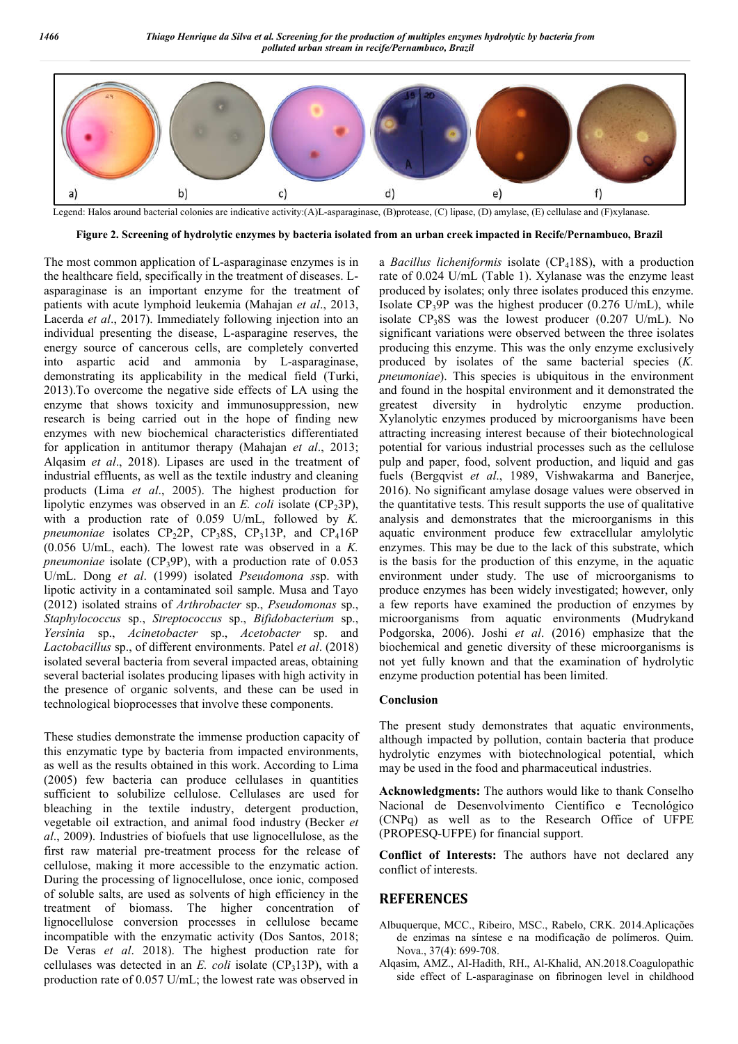

Legend: Halos around bacterial colonies are indicative activity:(A)L-asparaginase, (B)protease, (C) lipase, (D) amylase, (E) cellulase and (F)xylanase.

**Figure 2. Screening of hydrolytic enzymes by bacteria isolated from an urban creek impacted in Recife/Pernambuco, Brazil**

The most common application of L-asparaginase enzymes is in the healthcare field, specifically in the treatment of diseases. Lasparaginase is an important enzyme for the treatment of patients with acute lymphoid leukemia (Mahajan *et al*., 2013, Lacerda *et al*., 2017). Immediately following injection into an individual presenting the disease, L-asparagine reserves, the energy source of cancerous cells, are completely converted into aspartic acid and ammonia by L-asparaginase, demonstrating its applicability in the medical field (Turki, 2013).To overcome the negative side effects of LA using the enzyme that shows toxicity and immunosuppression, new research is being carried out in the hope of finding new enzymes with new biochemical characteristics differentiated for application in antitumor therapy (Mahajan *et al*., 2013; Alqasim *et al*., 2018). Lipases are used in the treatment of industrial effluents, as well as the textile industry and cleaning products (Lima *et al*., 2005). The highest production for lipolytic enzymes was observed in an *E. coli* isolate (CP<sub>2</sub>3P), with a production rate of 0.059 U/mL, followed by *K. pneumoniae* isolates  $CP_22P$ ,  $CP_38S$ ,  $CP_313P$ , and  $CP_416P$ (0.056 U/mL, each). The lowest rate was observed in a *K. pneumoniae* isolate ( $CP_39P$ ), with a production rate of 0.053 U/mL. Dong *et al*. (1999) isolated *Pseudomona s*sp. with lipotic activity in a contaminated soil sample. Musa and Tayo (2012) isolated strains of *Arthrobacter* sp., *Pseudomonas* sp., *Staphylococcus* sp., *Streptococcus* sp., *Bifidobacterium* sp., *Yersinia* sp., *Acinetobacter* sp., *Acetobacter* sp. and *Lactobacillus* sp., of different environments. Patel *et al*. (2018) isolated several bacteria from several impacted areas, obtaining several bacterial isolates producing lipases with high activity in the presence of organic solvents, and these can be used in technological bioprocesses that involve these components.

These studies demonstrate the immense production capacity of this enzymatic type by bacteria from impacted environments, as well as the results obtained in this work. According to Lima (2005) few bacteria can produce cellulases in quantities sufficient to solubilize cellulose. Cellulases are used for bleaching in the textile industry, detergent production, vegetable oil extraction, and animal food industry (Becker *et al*., 2009). Industries of biofuels that use lignocellulose, as the first raw material pre-treatment process for the release of cellulose, making it more accessible to the enzymatic action. During the processing of lignocellulose, once ionic, composed of soluble salts, are used as solvents of high efficiency in the treatment of biomass. The higher concentration of lignocellulose conversion processes in cellulose became incompatible with the enzymatic activity (Dos Santos, 2018; De Veras *et al*. 2018). The highest production rate for cellulases was detected in an  $E$ . *coli* isolate (CP<sub>3</sub>13P), with a production rate of 0.057 U/mL; the lowest rate was observed in a *Bacillus licheniformis* isolate (CP<sub>4</sub>18S), with a production rate of 0.024 U/mL (Table 1). Xylanase was the enzyme least produced by isolates; only three isolates produced this enzyme. Isolate  $CP_39P$  was the highest producer (0.276 U/mL), while isolate  $CP_38S$  was the lowest producer (0.207 U/mL). No significant variations were observed between the three isolates producing this enzyme. This was the only enzyme exclusively produced by isolates of the same bacterial species (*K. pneumoniae*). This species is ubiquitous in the environment and found in the hospital environment and it demonstrated the greatest diversity in hydrolytic enzyme production. Xylanolytic enzymes produced by microorganisms have been attracting increasing interest because of their biotechnological potential for various industrial processes such as the cellulose pulp and paper, food, solvent production, and liquid and gas fuels (Bergqvist *et al*., 1989, Vishwakarma and Banerjee, 2016). No significant amylase dosage values were observed in the quantitative tests. This result supports the use of qualitative analysis and demonstrates that the microorganisms in this aquatic environment produce few extracellular amylolytic enzymes. This may be due to the lack of this substrate, which is the basis for the production of this enzyme, in the aquatic environment under study. The use of microorganisms to produce enzymes has been widely investigated; however, only a few reports have examined the production of enzymes by microorganisms from aquatic environments (Mudrykand Podgorska, 2006). Joshi *et al*. (2016) emphasize that the biochemical and genetic diversity of these microorganisms is not yet fully known and that the examination of hydrolytic enzyme production potential has been limited.

#### **Conclusion**

The present study demonstrates that aquatic environments, although impacted by pollution, contain bacteria that produce hydrolytic enzymes with biotechnological potential, which may be used in the food and pharmaceutical industries.

**Acknowledgments:** The authors would like to thank Conselho Nacional de Desenvolvimento Científico e Tecnológico (CNPq) as well as to the Research Office of UFPE (PROPESQ-UFPE) for financial support.

**Conflict of Interests:** The authors have not declared any conflict of interests.

#### **REFERENCES**

- Albuquerque, MCC., Ribeiro, MSC., Rabelo, CRK. 2014.Aplicações de enzimas na síntese e na modificação de polímeros. Quim. Nova., 37(4): 699-708.
- Alqasim, AMZ., Al-Hadith, RH., Al-Khalid, AN.2018.Coagulopathic side effect of L-asparaginase on fibrinogen level in childhood